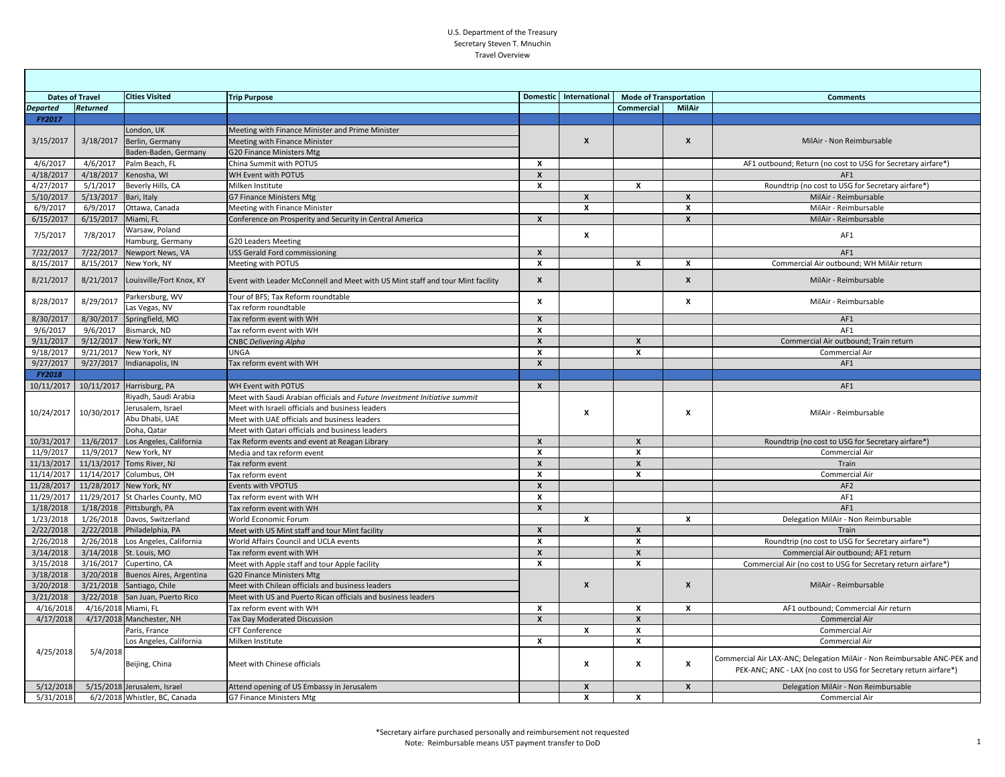## U.S. Department of the Treasury Secretary Steven T. Mnuchin Travel Overview

| <b>Dates of Travel</b><br><b>Cities Visited</b> |                     |                                  | <b>Trip Purpose</b>                                                            |                           | Domestic International | <b>Mode of Transportation</b> |                    | <b>Comments</b>                                                                                                                               |
|-------------------------------------------------|---------------------|----------------------------------|--------------------------------------------------------------------------------|---------------------------|------------------------|-------------------------------|--------------------|-----------------------------------------------------------------------------------------------------------------------------------------------|
| <b>Departed</b>                                 | <b>Returned</b>     |                                  |                                                                                |                           |                        | Commercial                    | <b>MilAir</b>      |                                                                                                                                               |
| <b>FY2017</b>                                   |                     |                                  |                                                                                |                           |                        |                               |                    |                                                                                                                                               |
|                                                 |                     | London, UK                       | Meeting with Finance Minister and Prime Minister                               |                           |                        |                               |                    | MilAir - Non Reimbursable                                                                                                                     |
| 3/15/2017                                       | 3/18/2017           | Berlin, Germany                  | Meeting with Finance Minister                                                  |                           | $\mathbf{x}$           |                               | $\pmb{\mathsf{x}}$ |                                                                                                                                               |
|                                                 |                     | Baden-Baden, Germany             | <b>G20 Finance Ministers Mtg</b>                                               |                           |                        |                               |                    |                                                                                                                                               |
| 4/6/2017                                        | 4/6/2017            | Palm Beach, FL                   | China Summit with POTUS                                                        | X                         |                        |                               |                    | AF1 outbound; Return (no cost to USG for Secretary airfare*)                                                                                  |
| 4/18/2017                                       | 4/18/2017           | Kenosha, WI                      | WH Event with POTUS                                                            | $\mathbf{x}$              |                        |                               |                    | AF1                                                                                                                                           |
| 4/27/2017                                       | 5/1/2017            | Beverly Hills, CA                | Milken Institute                                                               | $\mathbf{x}$              |                        | $\mathbf{x}$                  |                    | Roundtrip (no cost to USG for Secretary airfare*)                                                                                             |
| 5/10/2017                                       | 5/13/2017           | Bari, Italy                      | G7 Finance Ministers Mtg                                                       |                           | $\mathbf{x}$           |                               | $\boldsymbol{x}$   | MilAir - Reimbursable                                                                                                                         |
| 6/9/2017                                        | 6/9/2017            | Ottawa, Canada                   | Meeting with Finance Minister                                                  |                           | $\boldsymbol{x}$       |                               | X                  | MilAir - Reimbursable                                                                                                                         |
| 6/15/2017                                       | 6/15/2017           | Miami, FL                        | Conference on Prosperity and Security in Central America                       | $\mathsf{x}$              |                        |                               | X                  | MilAir - Reimbursable                                                                                                                         |
| 7/5/2017                                        | 7/8/2017            | Warsaw, Poland                   |                                                                                |                           | x                      |                               |                    | AF1                                                                                                                                           |
|                                                 |                     | Hamburg, Germany                 | <b>G20 Leaders Meeting</b>                                                     |                           |                        |                               |                    |                                                                                                                                               |
| 7/22/2017                                       | 7/22/2017           | Newport News, VA                 | <b>USS Gerald Ford commissioning</b>                                           | $\mathsf{x}$              |                        |                               |                    | AF1                                                                                                                                           |
| 8/15/2017                                       | 8/15/2017           | New York, NY                     | Meeting with POTUS                                                             | $\mathbf{x}$              |                        | X                             | x                  | Commercial Air outbound; WH MilAir return                                                                                                     |
| 8/21/2017                                       | 8/21/2017           | Louisville/Fort Knox, KY         | Event with Leader McConnell and Meet with US Mint staff and tour Mint facility | $\pmb{\chi}$              |                        |                               | X                  | MilAir - Reimbursable                                                                                                                         |
| 8/28/2017                                       | 8/29/2017           | Parkersburg, WV                  | Tour of BFS; Tax Reform roundtable                                             | $\boldsymbol{x}$          |                        |                               | X                  | MilAir - Reimbursable                                                                                                                         |
|                                                 |                     | Las Vegas, NV                    | Tax reform roundtable                                                          |                           |                        |                               |                    |                                                                                                                                               |
| 8/30/2017                                       | 8/30/2017           | Springfield, MO                  | Tax reform event with WH                                                       | $\pmb{\chi}$              |                        |                               |                    | AF1                                                                                                                                           |
| 9/6/2017                                        | 9/6/2017            | Bismarck, ND                     | Tax reform event with WH                                                       | $\boldsymbol{x}$          |                        |                               |                    | AF <sub>1</sub>                                                                                                                               |
| 9/11/2017                                       | 9/12/2017           | New York, NY                     | <b>CNBC Delivering Alpha</b>                                                   | $\mathbf{x}$              |                        | $\mathbf{x}$                  |                    | Commercial Air outbound; Train return                                                                                                         |
| 9/18/2017                                       | 9/21/2017           | New York, NY                     | <b>UNGA</b>                                                                    | $\pmb{\chi}$              |                        | X                             |                    | Commercial Air                                                                                                                                |
| 9/27/2017                                       | 9/27/2017           | Indianapolis, IN                 | Tax reform event with WH                                                       | $\boldsymbol{\mathsf{x}}$ |                        |                               |                    | AF1                                                                                                                                           |
| <b>FY2018</b>                                   |                     |                                  |                                                                                |                           |                        |                               |                    |                                                                                                                                               |
| 10/11/2017                                      | 10/11/2017          | Harrisburg, PA                   | WH Event with POTUS                                                            | $\boldsymbol{\mathsf{x}}$ |                        |                               |                    | AF1                                                                                                                                           |
|                                                 |                     | Riyadh, Saudi Arabia             | Meet with Saudi Arabian officials and Future Investment Initiative summit      |                           | x                      |                               | X                  | MilAir - Reimbursable                                                                                                                         |
| 10/24/2017                                      | 10/30/2017          | lerusalem, Israel                | Meet with Israeli officials and business leaders                               |                           |                        |                               |                    |                                                                                                                                               |
|                                                 |                     | Abu Dhabi, UAE                   | Meet with UAE officials and business leaders                                   |                           |                        |                               |                    |                                                                                                                                               |
|                                                 |                     | Doha, Qatar                      | Meet with Qatari officials and business leaders                                |                           |                        |                               |                    |                                                                                                                                               |
| 10/31/2017                                      | 11/6/2017           | Los Angeles, California          | Tax Reform events and event at Reagan Library                                  | $\boldsymbol{\mathsf{x}}$ |                        | $\boldsymbol{x}$              |                    | Roundtrip (no cost to USG for Secretary airfare*)                                                                                             |
| 11/9/2017                                       | 11/9/2017           | New York, NY                     | Media and tax reform event                                                     | $\mathbf{x}$              |                        | $\boldsymbol{x}$              |                    | Commercial Air                                                                                                                                |
| 11/13/2017                                      | 11/13/2017          | Toms River, NJ                   | Tax reform event                                                               | $\boldsymbol{x}$          |                        | $\pmb{\mathsf{x}}$            |                    | Train                                                                                                                                         |
| 11/14/2017                                      | 11/14/2017          | Columbus, OH                     | Tax reform event                                                               | X                         |                        | x                             |                    | Commercial Air                                                                                                                                |
| 11/28/2017                                      | 11/28/2017          | New York, NY                     | Events with VPOTUS                                                             | $\boldsymbol{x}$          |                        |                               |                    | AF2                                                                                                                                           |
| 11/29/2017                                      |                     | 11/29/2017 St Charles County, MO | Tax reform event with WH                                                       | X                         |                        |                               |                    | AF1                                                                                                                                           |
| 1/18/2018                                       | 1/18/2018           | Pittsburgh, PA                   | Tax reform event with WH                                                       | $\mathbf{x}$              |                        |                               |                    | AF1                                                                                                                                           |
| 1/23/2018                                       | 1/26/2018           | Davos, Switzerland               | World Economic Forum                                                           |                           | X                      |                               | X                  | Delegation MilAir - Non Reimbursable                                                                                                          |
| 2/22/2018                                       | 2/22/2018           | Philadelphia, PA                 | Meet with US Mint staff and tour Mint facility                                 | $\mathbf{x}$              |                        | X                             |                    | Train                                                                                                                                         |
| 2/26/2018                                       | 2/26/2018           | Los Angeles, California          | World Affairs Council and UCLA events                                          | X                         |                        | x                             |                    | Roundtrip (no cost to USG for Secretary airfare*)                                                                                             |
| 3/14/2018                                       | 3/14/2018           | St. Louis, MO                    | Tax reform event with WH                                                       | $\pmb{\chi}$              |                        | $\mathsf{x}$                  |                    | Commercial Air outbound; AF1 return                                                                                                           |
| 3/15/2018                                       | 3/16/2017           | Cupertino, CA                    | Meet with Apple staff and tour Apple facility                                  | $\mathbf{x}$              |                        | $\mathbf{x}$                  |                    | Commercial Air (no cost to USG for Secretary return airfare*)                                                                                 |
| 3/18/2018                                       | 3/20/2018           | Buenos Aires, Argentina          | G20 Finance Ministers Mtg                                                      |                           |                        |                               |                    |                                                                                                                                               |
| 3/20/2018                                       | 3/21/2018           | Santiago, Chile                  | Meet with Chilean officials and business leaders                               |                           | $\mathbf{x}$           |                               | $\mathsf{x}$       | MilAir - Reimbursable                                                                                                                         |
| 3/21/2018                                       | 3/22/2018           | San Juan, Puerto Rico            | Meet with US and Puerto Rican officials and business leaders                   |                           |                        |                               |                    |                                                                                                                                               |
| 4/16/201                                        | 4/16/2018 Miami, FL |                                  | Tax reform event with WH                                                       | X                         |                        | x                             | x                  | AF1 outbound; Commercial Air return                                                                                                           |
| 4/17/2018                                       | 4/17/2018           | Manchester, NH                   | Tax Day Moderated Discussion                                                   | $\boldsymbol{x}$          |                        | $\pmb{\times}$                |                    | <b>Commercial Air</b>                                                                                                                         |
| 4/25/2018                                       | 5/4/2018            | Paris, France                    | <b>CFT Conference</b>                                                          |                           | $\mathsf{x}$           | $\mathbf{x}$                  |                    | Commercial Air                                                                                                                                |
|                                                 |                     | os Angeles, California           | Milken Institute                                                               | X                         |                        | x                             |                    | Commercial Air                                                                                                                                |
|                                                 |                     | Beijing, China                   | Meet with Chinese officials                                                    |                           | $\mathbf{x}$           | x                             | x                  | Commercial Air LAX-ANC; Delegation MilAir - Non Reimbursable ANC-PEK and<br>PEK-ANC; ANC - LAX (no cost to USG for Secretary return airfare*) |
| 5/12/2018                                       |                     | 5/15/2018 Jerusalem, Israel      | Attend opening of US Embassy in Jerusalem                                      |                           | X                      |                               | X                  | Delegation MilAir - Non Reimbursable                                                                                                          |
| 5/31/2018                                       |                     | 6/2/2018 Whistler, BC, Canada    | G7 Finance Ministers Mtg                                                       |                           | $\mathbf{x}$           | $\mathbf{x}$                  |                    | Commercial Air                                                                                                                                |

٦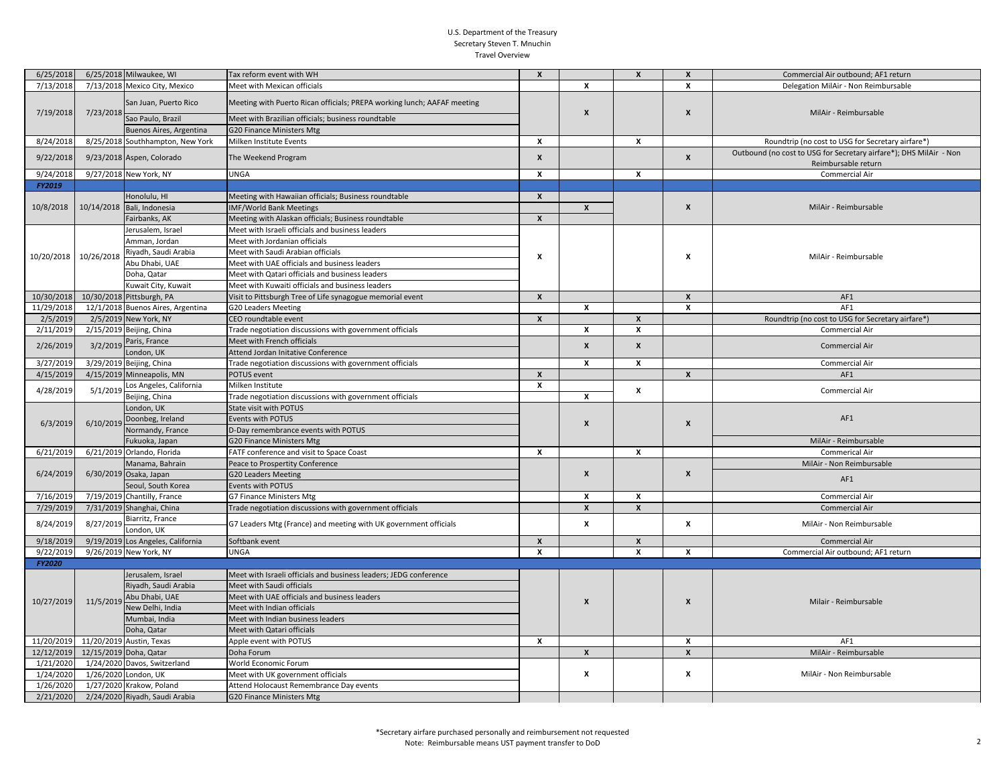## U.S. Department of the Treasury Secretary Steven T. Mnuchin Travel Overview

| 6/25/2018  |                          | 6/25/2018 Milwaukee, WI           | Tax reform event with WH                                                | $\pmb{\chi}$              |                    | $\mathbf{x}$     | $\pmb{\chi}$       | Commercial Air outbound; AF1 return                                                       |
|------------|--------------------------|-----------------------------------|-------------------------------------------------------------------------|---------------------------|--------------------|------------------|--------------------|-------------------------------------------------------------------------------------------|
| 7/13/2018  |                          | 7/13/2018 Mexico City, Mexico     | Meet with Mexican officials                                             |                           | X                  |                  | $\boldsymbol{x}$   | Delegation MilAir - Non Reimbursable                                                      |
| 7/19/2018  | 7/23/2018                | San Juan, Puerto Rico             | Meeting with Puerto Rican officials; PREPA working lunch; AAFAF meeting |                           | X                  |                  | X                  | MilAir - Reimbursable                                                                     |
|            |                          | Sao Paulo, Brazil                 | Meet with Brazilian officials; business roundtable                      |                           |                    |                  |                    |                                                                                           |
|            |                          | Buenos Aires, Argentina           | <b>G20 Finance Ministers Mtg</b>                                        |                           |                    |                  |                    |                                                                                           |
| 8/24/2018  |                          | 8/25/2018 Southhampton, New York  | Milken Institute Events                                                 | x                         |                    | x                |                    | Roundtrip (no cost to USG for Secretary airfare*)                                         |
| 9/22/2018  |                          | 9/23/2018 Aspen, Colorado         | The Weekend Program                                                     | $\boldsymbol{x}$          |                    |                  | $\pmb{\mathsf{x}}$ | Outbound (no cost to USG for Secretary airfare*); DHS MilAir - Non<br>Reimbursable return |
| 9/24/2018  |                          | 9/27/2018 New York, NY            | <b>UNGA</b>                                                             | $\boldsymbol{x}$          |                    | x                |                    | Commercial Air                                                                            |
| FY2019     |                          |                                   |                                                                         |                           |                    |                  |                    |                                                                                           |
|            |                          | Honolulu, HI                      | Meeting with Hawaiian officials; Business roundtable                    | $\mathbf{x}$              |                    |                  | X                  | MilAir - Reimbursable                                                                     |
| 10/8/2018  |                          | 10/14/2018 Bali, Indonesia        | IMF/World Bank Meetings                                                 |                           | X                  |                  |                    |                                                                                           |
|            |                          | Fairbanks, AK                     | Meeting with Alaskan officials; Business roundtable                     | $\mathbf{x}$              |                    |                  |                    |                                                                                           |
|            |                          | Jerusalem, Israel                 | Meet with Israeli officials and business leaders                        |                           |                    |                  |                    | MilAir - Reimbursable                                                                     |
|            |                          | Amman, Jordan                     | Meet with Jordanian officials                                           |                           |                    |                  |                    |                                                                                           |
| 10/20/2018 | 10/26/2018               | Riyadh, Saudi Arabia              | Meet with Saudi Arabian officials                                       | $\boldsymbol{\mathsf{x}}$ |                    |                  | X                  |                                                                                           |
|            |                          | Abu Dhabi, UAE                    | Meet with UAE officials and business leaders                            |                           |                    |                  |                    |                                                                                           |
|            |                          | Doha, Qatar                       | Meet with Qatari officials and business leaders                         |                           |                    |                  |                    |                                                                                           |
|            |                          | Kuwait City, Kuwait               | Meet with Kuwaiti officials and business leaders                        |                           |                    |                  |                    |                                                                                           |
| 10/30/2018 |                          | 10/30/2018 Pittsburgh, PA         | Visit to Pittsburgh Tree of Life synagogue memorial event               | $\boldsymbol{x}$          |                    |                  | $\pmb{\chi}$       | AF1                                                                                       |
| 11/29/2018 |                          | 12/1/2018 Buenos Aires, Argentina | G20 Leaders Meeting                                                     |                           | X                  |                  | $\boldsymbol{x}$   | AF1                                                                                       |
| 2/5/2019   |                          | 2/5/2019 New York, NY             | CEO roundtable event                                                    | $\mathbf{x}$              |                    | $\mathbf{x}$     |                    | Roundtrip (no cost to USG for Secretary airfare*)                                         |
| 2/11/2019  |                          | 2/15/2019 Beijing, China          | Trade negotiation discussions with government officials                 |                           | X                  | x                |                    | Commercial Air                                                                            |
| 2/26/2019  | 3/2/2019                 | Paris, France                     | Meet with French officials                                              |                           | $\mathbf{x}$       | $\mathbf{x}$     |                    | Commercial Air                                                                            |
|            |                          | London, UK                        | Attend Jordan Initative Conference                                      |                           |                    |                  |                    |                                                                                           |
| 3/27/2019  |                          | 3/29/2019 Beijing, China          | Trade negotiation discussions with government officials                 |                           | $\mathbf{x}$       | $\mathbf{x}$     |                    | Commercial Air                                                                            |
| 4/15/2019  |                          | 4/15/2019 Minneapolis, MN         | POTUS event                                                             | $\boldsymbol{x}$          |                    |                  | $\boldsymbol{x}$   | AF1                                                                                       |
| 4/28/2019  | 5/1/2019                 | Los Angeles, California           | Milken Institute                                                        | $\pmb{\chi}$              |                    | x                |                    | Commercial Air                                                                            |
|            |                          | Beijing, China                    | Trade negotiation discussions with government officials                 |                           | $\boldsymbol{x}$   |                  |                    |                                                                                           |
|            |                          | London, UK                        | State visit with POTUS                                                  |                           | X                  |                  |                    | AF1                                                                                       |
| 6/3/2019   | 6/10/2019                | Doonbeg, Ireland                  | Events with POTUS                                                       |                           |                    |                  | $\boldsymbol{x}$   |                                                                                           |
|            |                          | Normandy, France                  | D-Day remembrance events with POTUS                                     |                           |                    |                  |                    |                                                                                           |
|            |                          | Fukuoka, Japan                    | G20 Finance Ministers Mtg                                               |                           |                    |                  |                    | MilAir - Reimbursable                                                                     |
| 6/21/2019  |                          | 6/21/2019 Orlando, Florida        | FATF conference and visit to Space Coast                                | $\boldsymbol{x}$          |                    | $\mathbf{x}$     |                    | <b>Commerical Air</b>                                                                     |
|            |                          | Manama, Bahrain                   | Peace to Prospertity Conference                                         |                           |                    |                  |                    | MilAir - Non Reimbursable                                                                 |
| 6/24/2019  | 6/30/2019 Osaka, Japan   |                                   | <b>G20 Leaders Meeting</b>                                              |                           | $\pmb{\times}$     |                  | X                  | AF1                                                                                       |
|            |                          | Seoul, South Korea                | Events with POTUS                                                       |                           |                    |                  |                    |                                                                                           |
| 7/16/2019  |                          | 7/19/2019 Chantilly, France       | G7 Finance Ministers Mtg                                                |                           | x                  | x                |                    | Commercial Air                                                                            |
| 7/29/2019  |                          | 7/31/2019 Shanghai, China         | Trade negotiation discussions with government officials                 |                           | $\pmb{\mathsf{x}}$ | $\boldsymbol{x}$ |                    | Commercial Air                                                                            |
| 8/24/2019  | 8/27/2019                | Biarritz, France<br>London, UK    | G7 Leaders Mtg (France) and meeting with UK government officials        |                           | X                  |                  | x                  | MilAir - Non Reimbursable                                                                 |
| 9/18/2019  |                          | 9/19/2019 Los Angeles, California | Softbank event                                                          | $\boldsymbol{x}$          |                    | $\boldsymbol{x}$ |                    | Commercial Air                                                                            |
| 9/22/2019  |                          | 9/26/2019 New York, NY            | <b>UNGA</b>                                                             | $\boldsymbol{x}$          |                    | $\mathbf{x}$     | x                  | Commercial Air outbound; AF1 return                                                       |
| FY2020     |                          |                                   |                                                                         |                           |                    |                  |                    |                                                                                           |
| 10/27/2019 |                          | Jerusalem, Israel                 | Meet with Israeli officials and business leaders; JEDG conference       |                           |                    |                  |                    | Milair - Reimbursable                                                                     |
|            | 11/5/2019                | Riyadh, Saudi Arabia              | Meet with Saudi officials                                               |                           | X                  |                  |                    |                                                                                           |
|            |                          | Abu Dhabi, UAE                    | Meet with UAE officials and business leaders                            |                           |                    |                  | X                  |                                                                                           |
|            |                          | New Delhi, India                  | Meet with Indian officials                                              |                           |                    |                  |                    |                                                                                           |
|            |                          | Mumbai, India                     | Meet with Indian business leaders                                       |                           |                    |                  |                    |                                                                                           |
|            |                          | Doha, Qatar                       | Meet with Qatari officials                                              |                           |                    |                  |                    |                                                                                           |
| 11/20/2019 | 11/20/2019 Austin, Texas |                                   | Apple event with POTUS                                                  | $\boldsymbol{x}$          |                    |                  | X                  | AF1                                                                                       |
| 12/12/2019 | 12/15/2019 Doha, Qatar   |                                   | Doha Forum                                                              |                           | X                  |                  | $\pmb{\chi}$       | MilAir - Reimbursable                                                                     |
| 1/21/2020  |                          | 1/24/2020 Davos, Switzerland      | World Economic Forum                                                    |                           |                    |                  |                    |                                                                                           |
| 1/24/2020  | 1/26/2020 London, UK     |                                   | Meet with UK government officials                                       |                           | X                  |                  | X                  | MilAir - Non Reimbursable                                                                 |
| 1/26/2020  |                          | 1/27/2020 Krakow, Poland          | Attend Holocaust Remembrance Day events                                 |                           |                    |                  |                    |                                                                                           |
| 2/21/2020  |                          | 2/24/2020 Riyadh, Saudi Arabia    | <b>G20 Finance Ministers Mtg</b>                                        |                           |                    |                  |                    |                                                                                           |